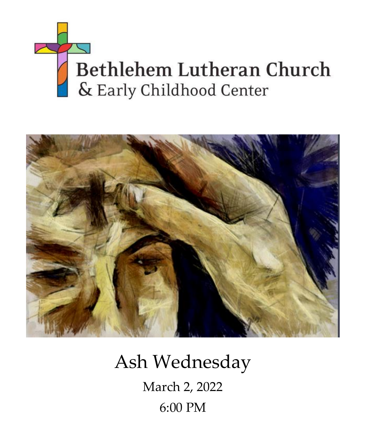



Ash Wednesday March 2, 2022 6:00 PM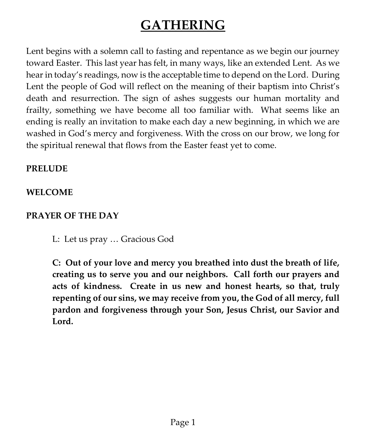# **GATHERING**

Lent begins with a solemn call to fasting and repentance as we begin our journey toward Easter. This last year has felt, in many ways, like an extended Lent. As we hear in today's readings, now is the acceptable time to depend on the Lord. During Lent the people of God will reflect on the meaning of their baptism into Christ's death and resurrection. The sign of ashes suggests our human mortality and frailty, something we have become all too familiar with. What seems like an ending is really an invitation to make each day a new beginning, in which we are washed in God's mercy and forgiveness. With the cross on our brow, we long for the spiritual renewal that flows from the Easter feast yet to come.

### **PRELUDE**

## **WELCOME**

## **PRAYER OF THE DAY**

L: Let us pray … Gracious God

**C: Out of your love and mercy you breathed into dust the breath of life, creating us to serve you and our neighbors. Call forth our prayers and acts of kindness. Create in us new and honest hearts, so that, truly repenting of our sins, we may receive from you, the God of all mercy, full pardon and forgiveness through your Son, Jesus Christ, our Savior and Lord.**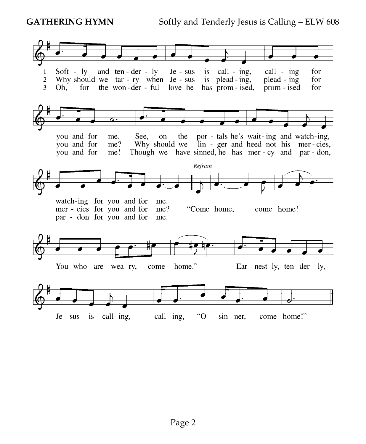GATHERING HYMN Softly and Tenderly Jesus is Calling – ELW 608

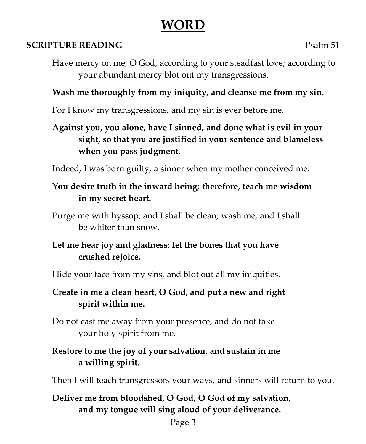# **WORD**

## **SCRIPTURE READING** Psalm 51

Have mercy on me, O God, according to your steadfast love; according to your abundant mercy blot out my transgressions.

# **Wash me thoroughly from my iniquity, and cleanse me from my sin.**

For I know my transgressions, and my sin is ever before me.

**Against you, you alone, have I sinned, and done what is evil in your sight, so that you are justified in your sentence and blameless when you pass judgment.**

Indeed, I was born guilty, a sinner when my mother conceived me.

## **You desire truth in the inward being; therefore, teach me wisdom in my secret heart.**

Purge me with hyssop, and I shall be clean; wash me, and I shall be whiter than snow.

# **Let me hear joy and gladness; let the bones that you have crushed rejoice.**

Hide your face from my sins, and blot out all my iniquities.

# **Create in me a clean heart, O God, and put a new and right spirit within me.**

Do not cast me away from your presence, and do not take your holy spirit from me.

# **Restore to me the joy of your salvation, and sustain in me a willing spirit.**

Then I will teach transgressors your ways, and sinners will return to you.

# **Deliver me from bloodshed, O God, O God of my salvation, and my tongue will sing aloud of your deliverance.**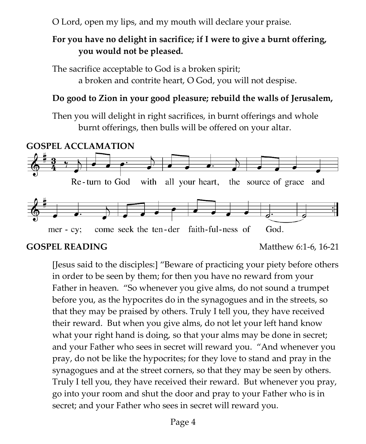O Lord, open my lips, and my mouth will declare your praise.

## **For you have no delight in sacrifice; if I were to give a burnt offering, you would not be pleased.**

The sacrifice acceptable to God is a broken spirit; a broken and contrite heart, O God, you will not despise.

#### **Do good to Zion in your good pleasure; rebuild the walls of Jerusalem,**

Then you will delight in right sacrifices, in burnt offerings and whole burnt offerings, then bulls will be offered on your altar.



#### **GOSPEL READING Matthew 6:1-6, 16-21**

[Jesus said to the disciples:] "Beware of practicing your piety before others in order to be seen by them; for then you have no reward from your Father in heaven. "So whenever you give alms, do not sound a trumpet before you, as the hypocrites do in the synagogues and in the streets, so that they may be praised by others. Truly I tell you, they have received their reward. But when you give alms, do not let your left hand know what your right hand is doing, so that your alms may be done in secret; and your Father who sees in secret will reward you. "And whenever you pray, do not be like the hypocrites; for they love to stand and pray in the synagogues and at the street corners, so that they may be seen by others. Truly I tell you, they have received their reward. But whenever you pray, go into your room and shut the door and pray to your Father who is in secret; and your Father who sees in secret will reward you.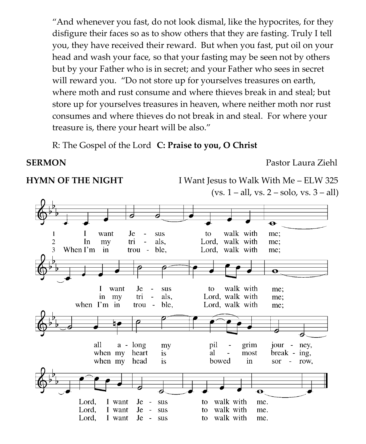"And whenever you fast, do not look dismal, like the hypocrites, for they disfigure their faces so as to show others that they are fasting. Truly I tell you, they have received their reward. But when you fast, put oil on your head and wash your face, so that your fasting may be seen not by others but by your Father who is in secret; and your Father who sees in secret will reward you. "Do not store up for yourselves treasures on earth, where moth and rust consume and where thieves break in and steal; but store up for yourselves treasures in heaven, where neither moth nor rust consumes and where thieves do not break in and steal. For where your treasure is, there your heart will be also."

R: The Gospel of the Lord **C: Praise to you, O Christ**

**SERMON** Pastor Laura Ziehl

**HYMN OF THE NIGHT** I Want Jesus to Walk With Me – ELW 325  $(vs. 1 - all, vs. 2 - solo, vs. 3 - all)$ 

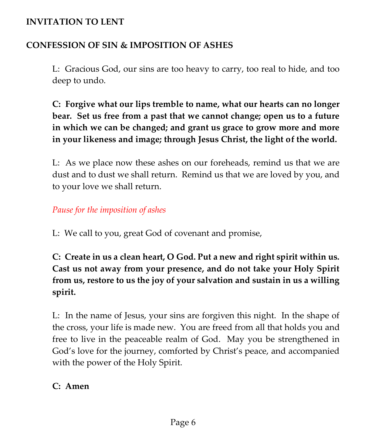#### **INVITATION TO LENT**

### **CONFESSION OF SIN & IMPOSITION OF ASHES**

L:Gracious God, our sins are too heavy to carry, too real to hide, and too deep to undo.

**C: Forgive what our lips tremble to name, what our hearts can no longer bear. Set us free from a past that we cannot change; open us to a future in which we can be changed; and grant us grace to grow more and more in your likeness and image; through Jesus Christ, the light of the world.**

L: As we place now these ashes on our foreheads, remind us that we are dust and to dust we shall return. Remind us that we are loved by you, and to your love we shall return.

*Pause for the imposition of ashes*

L: We call to you, great God of covenant and promise,

**C: Create in us a clean heart, O God. Put a new and right spirit within us. Cast us not away from your presence, and do not take your Holy Spirit from us, restore to us the joy of your salvation and sustain in us a willing spirit.**

L: In the name of Jesus, your sins are forgiven this night. In the shape of the cross, your life is made new. You are freed from all that holds you and free to live in the peaceable realm of God. May you be strengthened in God's love for the journey, comforted by Christ's peace, and accompanied with the power of the Holy Spirit.

### **C: Amen**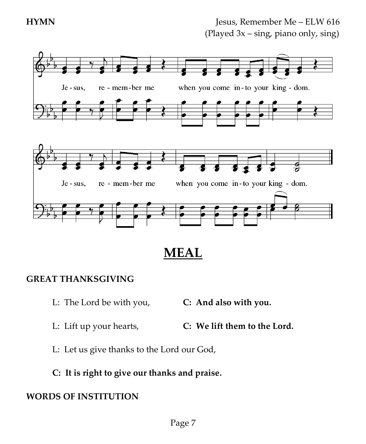

**MEAL**

### **GREAT THANKSGIVING**

- L: The Lord be with you, **C: And also with you.**
- L: Lift up your hearts, **C: We lift them to the Lord.**
- L: Let us give thanks to the Lord our God,
- **C: It is right to give our thanks and praise.**

### **WORDS OF INSTITUTION**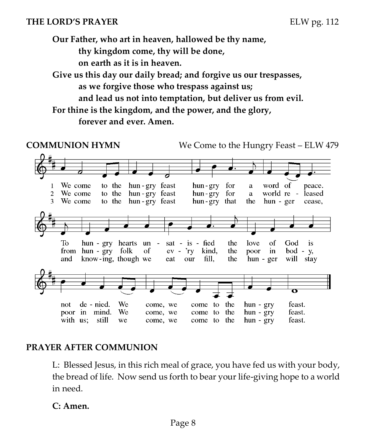#### **THE LORD'S PRAYER** ELW pg. 112

**Our Father, who art in heaven, hallowed be thy name, thy kingdom come, thy will be done,**

**on earth as it is in heaven.**

**Give us this day our daily bread; and forgive us our trespasses, as we forgive those who trespass against us;**

**and lead us not into temptation, but deliver us from evil.**

**For thine is the kingdom, and the power, and the glory, forever and ever. Amen.**

**COMMUNION HYMN** We Come to the Hungry Feast – ELW 479



### **PRAYER AFTER COMMUNION**

L: Blessed Jesus, in this rich meal of grace, you have fed us with your body, the bread of life. Now send us forth to bear your life-giving hope to a world in need.

#### **C: Amen.**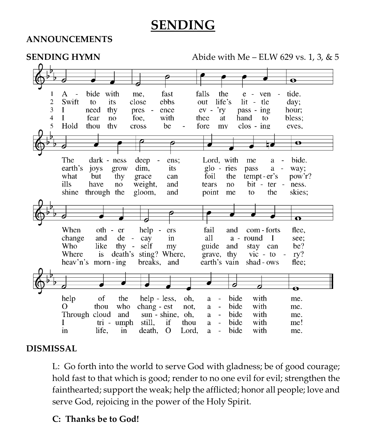# **SENDING**

#### **ANNOUNCEMENTS**



### **DISMISSAL**

L: Go forth into the world to serve God with gladness; be of good courage; hold fast to that which is good; render to no one evil for evil; strengthen the fainthearted; support the weak; help the afflicted; honor all people; love and serve God, rejoicing in the power of the Holy Spirit.

#### **C: Thanks be to God!**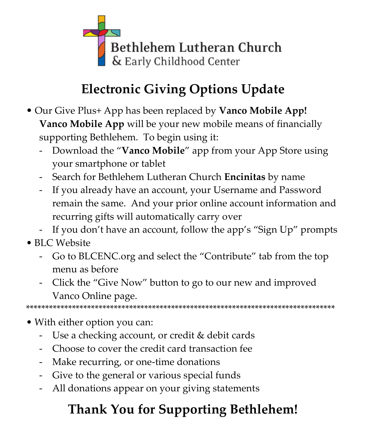

# **Electronic Giving Options Update**

- Our Give Plus+ App has been replaced by **Vanco Mobile App! Vanco Mobile App** will be your new mobile means of financially supporting Bethlehem. To begin using it:
	- Download the "**Vanco Mobile**" app from your App Store using your smartphone or tablet
	- Search for Bethlehem Lutheran Church **Encinitas** by name
	- If you already have an account, your Username and Password remain the same. And your prior online account information and recurring gifts will automatically carry over
	- If you don't have an account, follow the app's "Sign Up" prompts
- BLC Website
	- Go to BLCENC.org and select the "Contribute" tab from the top menu as before
	- Click the "Give Now" button to go to our new and improved Vanco Online page.

\*\*\*\*\*\*\*\*\*\*\*\*\*\*\*\*\*\*\*\*\*\*\*\*\*\*\*\*\*\*\*\*\*\*\*\*\*\*\*\*\*\*\*\*\*\*\*\*\*\*\*\*\*\*\*\*\*\*\*\*\*\*\*\*\*\*\*\*\*\*\*\*\*\*\*\*\*\*\*\*\*

- With either option you can:
	- Use a checking account, or credit & debit cards
	- Choose to cover the credit card transaction fee
	- Make recurring, or one-time donations
	- Give to the general or various special funds
	- All donations appear on your giving statements

# **Thank You for Supporting Bethlehem!**